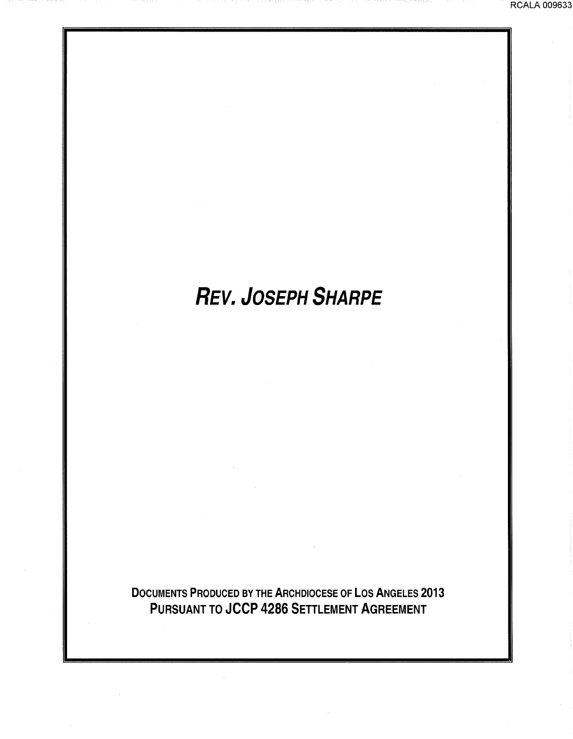# **REV. JOSEPH SHARPE**

DOCUMENTS PRODUCED BY THE ARCHDIOCESE OF LOS ANGELES 2013 PURSUANT TO JCCP 4286 SETTLEMENT AGREEMENT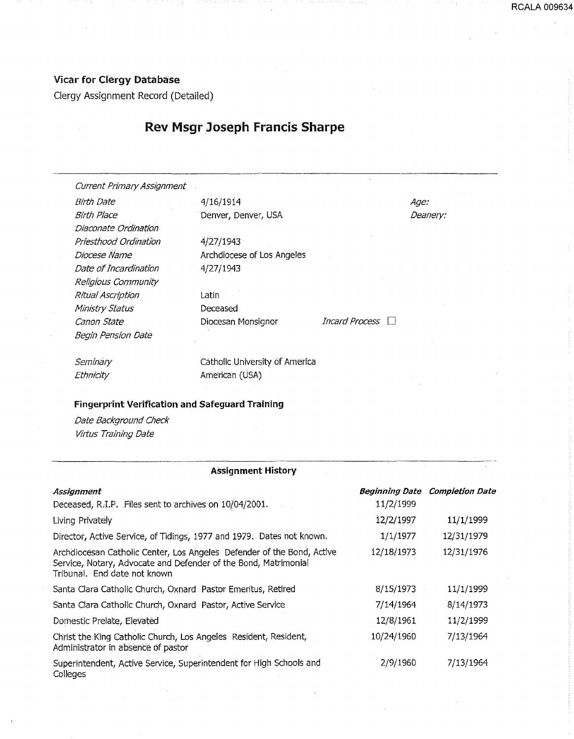Clergy Assignment Record (Detailed)

## Rev Msgr Joseph Francis Sharpe

Current Primary Assignment

Birth Date 4/16/1914 Birth Place Denver, Denver, USA Dlaconate Ordination Priesthood Ordination Diocese Name Date of Incardination Religious Community Ritual Ascription Ministry Status Canon State **Diocesan Monsignor** *Incard Process* Begin Pension Date

4/27/1943 Archdiocese of Los Angeles 4/27/1943

Latin Deceased

Age: Deanery:

**Seminary** Ethnicity

catholic .Uhiversity of America American {USA)

#### Fingerprint Verification and Safeguard Training

Date Background Check Virtus Training Date

#### Assignment History

| Assignment                                                                                                                                                                |            | <b>Beginning Date Completion Date</b> |
|---------------------------------------------------------------------------------------------------------------------------------------------------------------------------|------------|---------------------------------------|
| Deceased, R.I.P. Files sent to archives on 10/04/2001.                                                                                                                    | 11/2/1999  |                                       |
| Living Privately                                                                                                                                                          | 12/2/1997  | 11/1/1999                             |
| Director, Active Service, of Tidings, 1977 and 1979. Dates not known.                                                                                                     | 1/1/1977   | 12/31/1979                            |
| Archdiocesan Catholic Center, Los Angeles Defender of the Bond, Active<br>Service, Notary, Advocate and Defender of the Bond, Matrimonial<br>Tribunal. End date not known | 12/18/1973 | 12/31/1976                            |
| Santa Clara Catholic Church, Oxnard Pastor Emeritus, Retired                                                                                                              | 8/15/1973  | 11/1/1999                             |
| Santa Clara Catholic Church, Oxnard Pastor, Active Service                                                                                                                | 7/14/1964  | 8/14/1973                             |
| Domestic Prelate, Elevated                                                                                                                                                | 12/8/1961  | 11/2/1999                             |
| Christ the King Catholic Church, Los Angeles Resident, Resident,<br>Administrator in absence of pastor                                                                    | 10/24/1960 | 7/13/1964                             |
| Superintendent, Active Service, Superintendent for High Schools and<br>Colleges                                                                                           | 2/9/1960   | 7/13/1964                             |

RCALA 009634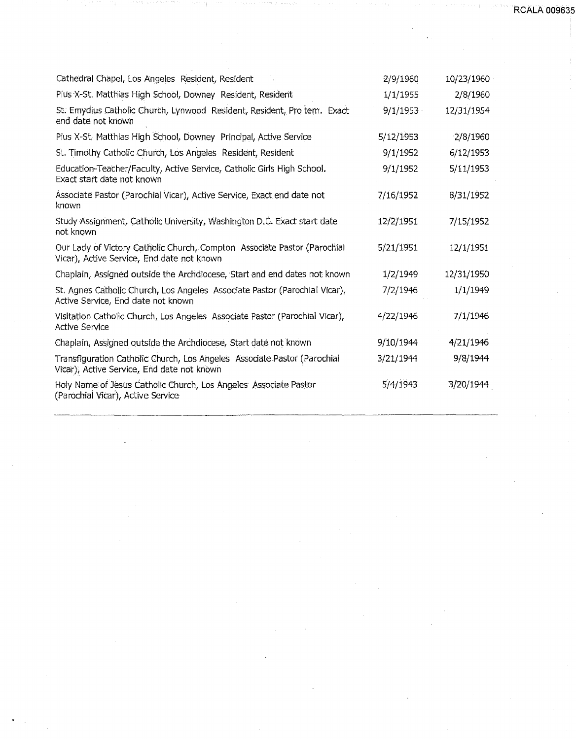**RCALA 00963** 

| Cathedral Chapel, Los Angeles Resident, Resident                                                                       | 2/9/1960  | 10/23/1960 |
|------------------------------------------------------------------------------------------------------------------------|-----------|------------|
| Pius X-St. Matthias High School, Downey Resident, Resident                                                             | 1/1/1955  | 2/8/1960   |
| St. Emydius Catholic Church, Lynwood Resident, Resident, Pro tem. Exact<br>end date not known                          | 9/1/1953  | 12/31/1954 |
| Pius X-St. Matthias High School, Downey Principal, Active Service                                                      | 5/12/1953 | 2/8/1960   |
| St. Timothy Catholic Church, Los Angeles Resident, Resident                                                            | 9/1/1952  | 6/12/1953  |
| Education-Teacher/Faculty, Active Service, Catholic Girls High School.<br>Exact start date not known                   | 9/1/1952  | 5/11/1953  |
| Associate Pastor (Parochial Vicar), Active Service, Exact end date not<br>known                                        | 7/16/1952 | 8/31/1952  |
| Study Assignment, Catholic University, Washington D.C. Exact start date<br>not known                                   | 12/2/1951 | 7/15/1952  |
| Our Lady of Victory Catholic Church, Compton Associate Pastor (Parochial<br>Vicar), Active Service, End date not known | 5/21/1951 | 12/1/1951  |
| Chaplain, Assigned outside the Archdiocese, Start and end dates not known                                              | 1/2/1949  | 12/31/1950 |
| St. Agnes Catholic Church, Los Angeles Associate Pastor (Parochial Vicar),<br>Active Service, End date not known       | 7/2/1946  | 1/1/1949   |
| Visitation Catholic Church, Los Angeles Associate Pastor (Parochial Vicar),<br><b>Active Service</b>                   | 4/22/1946 | 7/1/1946   |
| Chaplain, Assigned outside the Archdiocese, Start date not known                                                       | 9/10/1944 | 4/21/1946  |
| Transfiguration Catholic Church, Los Angeles Associate Pastor (Parochial<br>Vicar), Active Service, End date not known | 3/21/1944 | 9/8/1944   |
| Holy Name of Jesus Catholic Church, Los Angeles Associate Pastor<br>(Parochial Vicar), Active Service                  | 5/4/1943  | 3/20/1944  |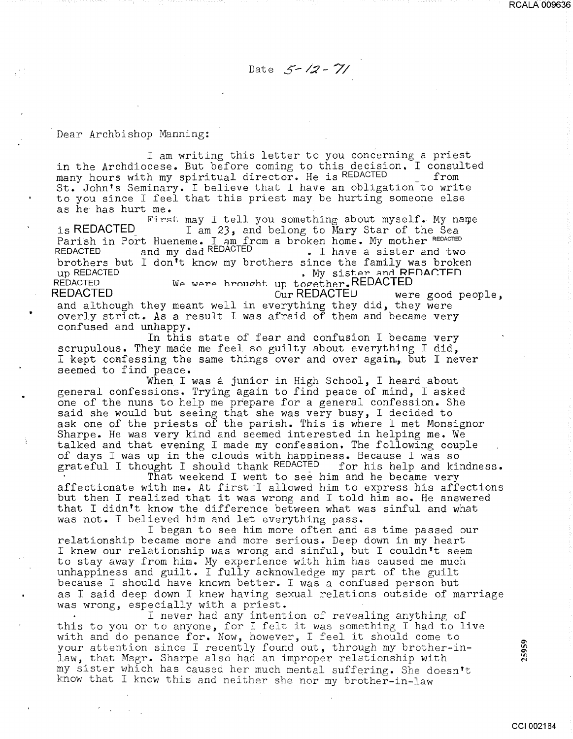Date  $5 - 12 - 71$ 

Dear Archbishop Manning:

..

I am writing this letter to you concerning a priest in the Archdiocese. But before coming to this decision. I consulted many hours with my spiritual director. He is REDACTED from St. John's Seminary. I believe that I have an obligation to write to you since I feel that this priest may be hurting someone else as he has hurt me.

First. may I tell you something about myself. My name is REDACTED\_ I am *23,* and belong to Mary Star of the Sea Parish in Port Hueneme. I am from a broken home. My mother REDACTED REDACTED and my dad REDACTED • I have a sister and two REDACTED and my dad REDACTED . I have a sister and two<br>brothers but I don't know my brothers since the family was broken<br>wy sister and RFDACTED . Wy sister and RFDACTED up REDACTED **and CEO**<br>REDACTED We were brought up together.REDACTED REDACTED We were brought up together.REDACTED<br>REDACTED were our REDACTED wer REDACTED **CurREDACTEL** were good people, and although they meant well in everything they did, they were overly strict. As a result I was afraid of them and became very confused and unhappy.

In this state of fear and confusion I became very scrupulous. They made me feel so guilty about everything I did, I kept confessing the same things over and over again.,. but I never seemed to find peace.

When I was a junior in High School, I heard about general confessions. Trying again to find peace of mind, I asked one of the nuns to help me prepare for a general confession. She said she would but seeing that she was very busy, I decided to ask one of the priests of the parish. This is where I met Monsignor Sharpe. He was very kind and seemed interested in helping me. We talked and that evening I made my confession. The following couple of days I was up in the clouds with happiness. Because I was so<br>grateful I thought I should thank REDACTED – for his help and kindness. grateful I thought I should thank REDACTED

That weekend I went to see him and he became very affectionate with me. At first I allowed him to express his affections but then I realized that it was wrong and I told him so. He answered that I didn't know the difference between what was sinful and what was not. I believed him and let everything pass.

I began to see him more often and as time passed our relationship became more and more serious. Deep down in my heart I knew our relationship was wrong and sinful, but I couldn't seem to stay away from him. My experience with him has caused me much unhappiness and guilt. I fully acknowledge my part of the guilt because I should have known better. I was a confused person but as I said deep down I knew having sexual relations outside of marriage was wrong, especially with a priest.

I never had any intention of revealing anything of this to you or to anyone, for I felt it was something I had to live with and do penance for. Now, however, I feel it should come to your attention since I recently found out, through my brother-inlaw, that Msgr. Sharpe also had an improper relationship with my sister which has caused her much mental suffering. She doesn't know that I know this and neither she nor my brother-in-law

25959

RCALA 009636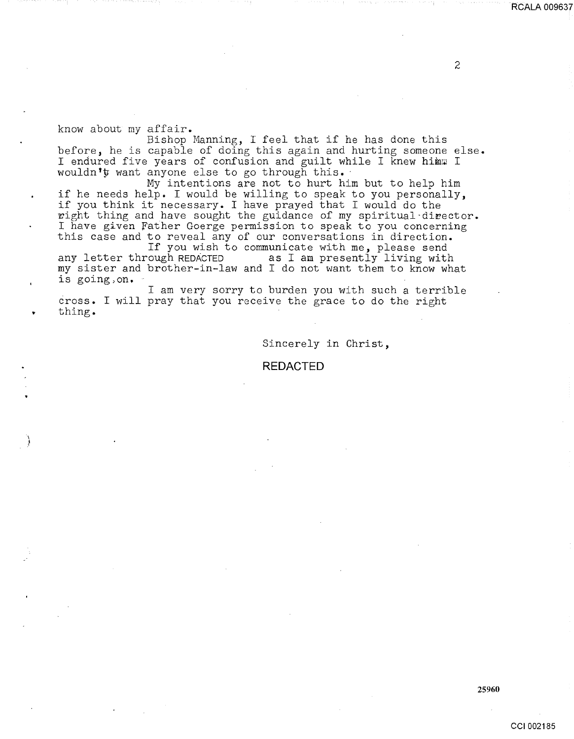know about my affair.

Bishop Manning, I feel that if he has done this before, he is capable of doing this again and hurting someone else. I endured five years of confusion and guilt while I knew himm I wouldn'y want anyone else to go through this.

My intentions are not to hurt him but to help him if he needs help. I would be willing to speak to you personally, if you think it necessary. I have prayed that I would do the wight thing and have sought the guidance of my spiritual director. I have given Father Goerge permission to speak to you concerning this case and to reveal any of our conversations in direction.

If you wish to communicate with me, please send<br>any letter through REDACTED as I am presently living with as I am presently living with my sister and brother-in-law and I do not want them to know what is going,on.

I am very sorry to burden you with such a terrible cross. I will pray that you receive the grace to do the right thing.

Sincerely in Christ,

### **REDACTED**

2